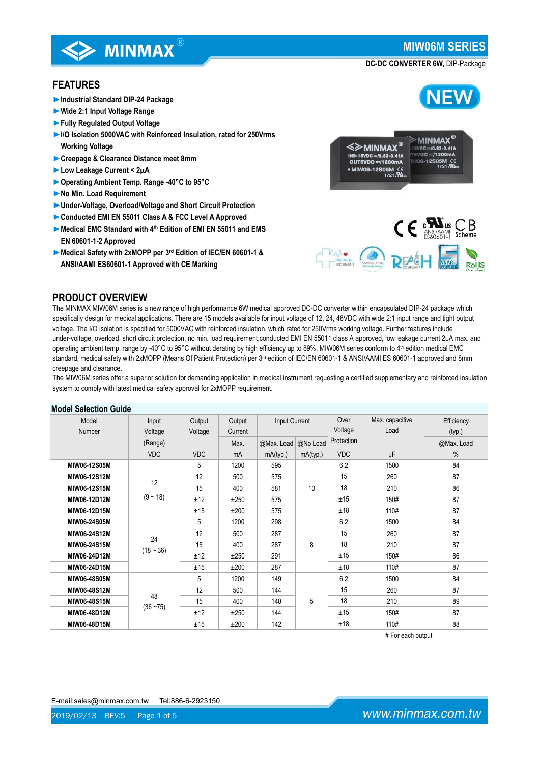**NEW** 

**DC-DC CONVERTER 6W,** DIP-Package

## **FEATURES**

**►Industrial Standard DIP-24 Package**

**EXAMINMAX** 

- **►Wide 2:1 Input Voltage Range**
- **►Fully Regulated Output Voltage**
- **►I/O Isolation 5000VAC with Reinforced Insulation, rated for 250Vrms Working Voltage**
- **►Creepage & Clearance Distance meet 8mm**
- **►Low Leakage Current < 2μA**
- **►Operating Ambient Temp. Range -40°C to 95°C**
- **►No Min. Load Requirement**
- **►Under-Voltage, Overload/Voltage and Short Circuit Protection**
- **►Conducted EMI EN 55011 Class A & FCC Level A Approved**
- **►Medical EMC Standard with 4th Edition of EMI EN 55011 and EMS EN 60601-1-2 Approved**
- **►Medical Safety with 2xMOPP per 3rd Edition of IEC/EN 60601-1 & ANSI/AAMI ES60601-1 Approved with CE Marking**



### **PRODUCT OVERVIEW**

The MINMAX MIW06M series is a new range of high performance 6W medical approved DC-DC converter within encapsulated DIP-24 package which specifically design for medical applications. There are 15 models available for input voltage of 12, 24, 48VDC with wide 2:1 input range and tight output voltage. The I/O isolation is specified for 5000VAC with reinforced insulation, which rated for 250Vrms working voltage. Further features include under-voltage, overload, short circuit protection, no min. load requirement, conducted EMI EN 55011 class A approved, low leakage current 2μA max. and operating ambient temp. range by -40°C to 95°C without derating by high efficiency up to 89%. MIW06M series conform to 4th edition medical EMC standard, medical safety with 2xMOPP (Means Of Patient Protection) per 3<sup>rd</sup> edition of IEC/EN 60601-1 & ANSI/AAMI ES 60601-1 approved and 8mm creepage and clearance.

The MIW06M series offer a superior solution for demanding application in medical instrument requesting a certified supplementary and reinforced insulation system to comply with latest medical safety approval for 2xMOPP requirement.

| <b>Model Selection Guide</b> |                   |            |         |                     |               |            |                 |            |
|------------------------------|-------------------|------------|---------|---------------------|---------------|------------|-----------------|------------|
| Model                        | Input             | Output     | Output  |                     | Input Current |            | Max. capacitive | Efficiency |
| Number                       | Voltage           | Voltage    | Current |                     |               | Voltage    | Load            | (typ.)     |
|                              | (Range)           |            | Max.    | @Max. Load @No Load |               | Protection |                 | @Max. Load |
|                              | <b>VDC</b>        | <b>VDC</b> | mA      | mA(typ.)            | mA(typ.)      | <b>VDC</b> | μF              | $\%$       |
| MIW06-12S05M                 |                   | 5          | 1200    | 595                 |               | 6.2        | 1500            | 84         |
| MIW06-12S12M                 |                   | 12         | 500     | 575                 |               | 15         | 260             | 87         |
| MIW06-12S15M                 | 12                | 15         | 400     | 581                 | 10            | 18         | 210             | 86         |
| MIW06-12D12M                 | $(9 - 18)$        | ±12        | ±250    | 575                 |               | ±15        | 150#            | 87         |
| MIW06-12D15M                 |                   | ±15        | ±200    | 575                 |               | ±18        | 110#            | 87         |
| MIW06-24S05M                 |                   | 5          | 1200    | 298                 |               | 6.2        | 1500            | 84         |
| MIW06-24S12M                 |                   | 12         | 500     | 287                 |               | 15         | 260             | 87         |
| MIW06-24S15M                 | 24<br>$(18 - 36)$ | 15         | 400     | 287                 | 8             | 18         | 210             | 87         |
| MIW06-24D12M                 |                   | ±12        | ±250    | 291                 |               | ±15        | 150#            | 86         |
| MIW06-24D15M                 |                   | ±15        | ±200    | 287                 |               | ±18        | 110#            | 87         |
| MIW06-48S05M                 | 48                | 5          | 1200    | 149                 |               | 6.2        | 1500            | 84         |
| MIW06-48S12M                 |                   | 12         | 500     | 144                 |               | 15         | 260             | 87         |
| MIW06-48S15M                 |                   | 15         | 400     | 140                 | 5             | 18         | 210             | 89         |
| MIW06-48D12M                 | $(36 - 75)$       | ±12        | ±250    | 144                 |               | ±15        | 150#            | 87         |
| MIW06-48D15M                 |                   | ±15        | ±200    | 142                 |               | ±18        | 110#            | 88         |

# For each output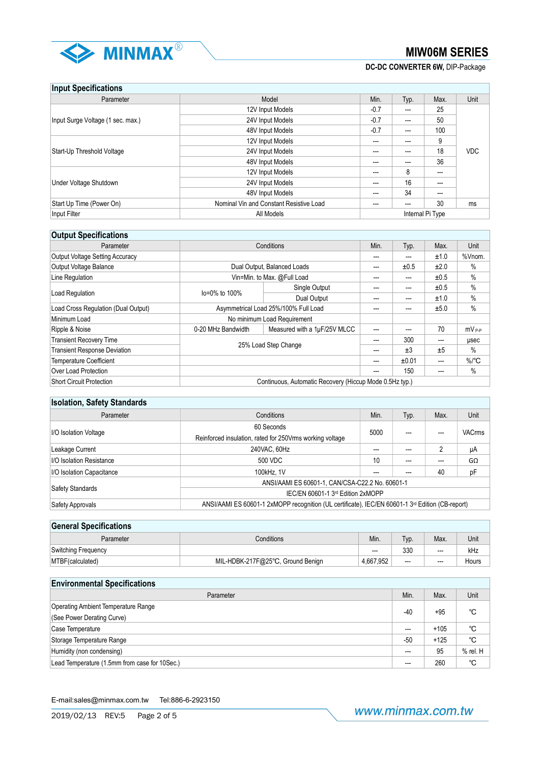

**DC-DC CONVERTER 6W,** DIP-Package

## **Input Specifications**

| <b>HINAL ANAAHIAAHAIM</b>         |                                         |        |       |                  |            |
|-----------------------------------|-----------------------------------------|--------|-------|------------------|------------|
| Parameter                         | Model                                   | Min.   | Typ.  | Max.             | Unit       |
|                                   | 12V Input Models                        | $-0.7$ | $--$  | 25               |            |
| Input Surge Voltage (1 sec. max.) | 24V Input Models                        | $-0.7$ | $---$ | 50               |            |
|                                   | 48V Input Models                        | $-0.7$ | $--$  | 100              |            |
|                                   | 12V Input Models                        | $---$  | ---   | 9                |            |
| Start-Up Threshold Voltage        | 24V Input Models                        | ---    | ---   | 18               | <b>VDC</b> |
|                                   | 48V Input Models                        | $---$  | ---   | 36               |            |
|                                   | 12V Input Models                        | ---    | 8     | ---              |            |
| Under Voltage Shutdown            | 24V Input Models                        | ---    | 16    | $---$            |            |
|                                   | 48V Input Models                        | ---    | 34    | $---$            |            |
| Start Up Time (Power On)          | Nominal Vin and Constant Resistive Load | ---    |       | 30               | ms         |
| Input Filter                      | All Models                              |        |       | Internal Pi Type |            |

## **Output Specifications**

| Parameter                                                                   | Conditions           |                                                         | Min. | Typ.  | Max.  | Unit                |
|-----------------------------------------------------------------------------|----------------------|---------------------------------------------------------|------|-------|-------|---------------------|
| <b>Output Voltage Setting Accuracy</b>                                      |                      |                                                         | ---  | ---   | ±1.0  | %Vnom.              |
| Output Voltage Balance                                                      |                      | Dual Output, Balanced Loads                             | ---  | ±0.5  | ±2.0  | $\%$                |
| Line Regulation                                                             |                      | Vin=Min. to Max. @Full Load                             | ---  | ---   | ±0.5  | $\%$                |
|                                                                             | lo=0% to 100%        | Single Output                                           | ---  | ---   | ±0.5  | $\%$                |
| Load Regulation                                                             |                      | Dual Output                                             | ---  | ---   | ±1.0  | $\%$                |
| Load Cross Regulation (Dual Output)<br>Asymmetrical Load 25%/100% Full Load |                      | ---                                                     | ---  | ±5.0  | $\%$  |                     |
| Minimum Load                                                                |                      | No minimum Load Requirement                             |      |       |       |                     |
| Ripple & Noise                                                              | 0-20 MHz Bandwidth   | Measured with a 1µF/25V MLCC                            | ---  | ---   | 70    | $mV_{P-P}$          |
| <b>Transient Recovery Time</b>                                              |                      |                                                         | ---  | 300   | ---   | usec                |
| <b>Transient Response Deviation</b>                                         | 25% Load Step Change |                                                         | ---  | ±3    | ±5    | $\%$                |
| <b>Temperature Coefficient</b>                                              |                      |                                                         | ---  | ±0.01 | $---$ | $\%$ <sup>o</sup> C |
| Over Load Protection                                                        |                      |                                                         | ---  | 150   | ---   | $\%$                |
| <b>Short Circuit Protection</b>                                             |                      | Continuous, Automatic Recovery (Hiccup Mode 0.5Hz typ.) |      |       |       |                     |

## **Isolation, Safety Standards**

| Parameter                                                                                                                        | Conditions                                                |      | Typ. | Max. | Unit          |  |
|----------------------------------------------------------------------------------------------------------------------------------|-----------------------------------------------------------|------|------|------|---------------|--|
|                                                                                                                                  | 60 Seconds                                                |      |      |      |               |  |
| I/O Isolation Voltage                                                                                                            | Reinforced insulation, rated for 250 Vrms working voltage | 5000 |      |      | <b>VACrms</b> |  |
| Leakage Current                                                                                                                  | 240VAC, 60Hz                                              | ---  |      | 2    | μA            |  |
| <b>I/O Isolation Resistance</b>                                                                                                  | 500 VDC                                                   | 10   |      | ---  | $G\Omega$     |  |
| I/O Isolation Capacitance                                                                                                        | 100kHz, 1V                                                | ---  | ---  | 40   | pF            |  |
| ANSI/AAMI ES 60601-1, CAN/CSA-C22.2 No. 60601-1                                                                                  |                                                           |      |      |      |               |  |
| <b>Safety Standards</b>                                                                                                          | IEC/EN 60601-1 3rd Edition 2xMOPP                         |      |      |      |               |  |
| ANSI/AAMI ES 60601-1 2xMOPP recognition (UL certificate), IEC/EN 60601-1 3 <sup>rd</sup> Edition (CB-report)<br>Safety Approvals |                                                           |      |      |      |               |  |

| <b>General Specifications</b> |                                   |                          |      |       |       |
|-------------------------------|-----------------------------------|--------------------------|------|-------|-------|
| Parameter                     | Conditions                        | Min.                     | Typ. | Max.  | Unit  |
| <b>Switching Frequency</b>    |                                   | $\overline{\phantom{a}}$ | 330  | $---$ | kHz   |
| MTBF (calculated)             | MIL-HDBK-217F@25°C, Ground Benign | 4.667.952                | $--$ | $---$ | Hours |

| <b>Environmental Specifications</b>           |                          |        |          |
|-----------------------------------------------|--------------------------|--------|----------|
| Parameter                                     | Min.                     | Max.   | Unit     |
| Operating Ambient Temperature Range           | -40                      | $+95$  | °C       |
| (See Power Derating Curve)                    |                          |        |          |
| Case Temperature                              | ---                      | $+105$ | °C       |
| Storage Temperature Range                     | $-50$                    | $+125$ | °C       |
| Humidity (non condensing)                     | $\overline{\phantom{a}}$ | 95     | % rel. H |
| Lead Temperature (1.5mm from case for 10Sec.) | $\overline{\phantom{a}}$ | 260    | °C       |

E-mail:sales@minmax.com.tw Tel:886-6-2923150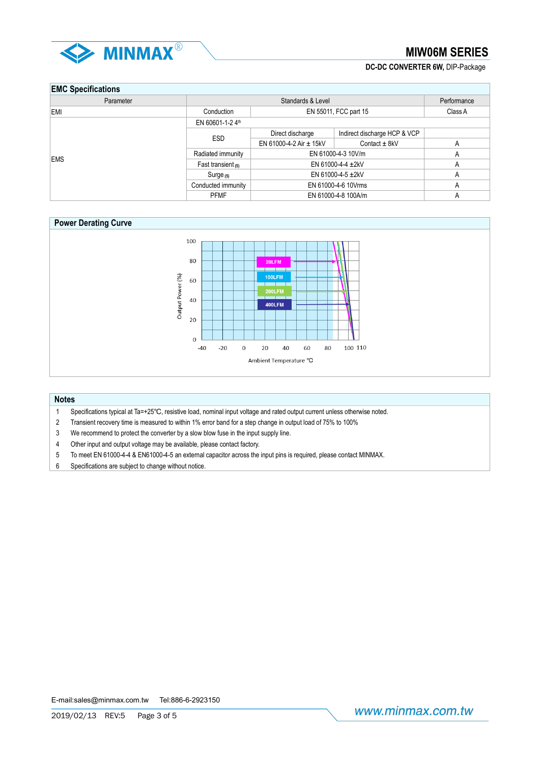

## **DC-DC CONVERTER 6W,** DIP-Package

## **EMC Specifications**

| <b>LITTLE OPPOILIPATIONS</b> |                                         |                                  |                              |   |  |         |
|------------------------------|-----------------------------------------|----------------------------------|------------------------------|---|--|---------|
| Parameter                    |                                         | Standards & Level<br>Performance |                              |   |  |         |
| EMI                          | Conduction                              | EN 55011, FCC part 15            |                              |   |  | Class A |
|                              | EN 60601-1-2 4th                        |                                  |                              |   |  |         |
|                              | <b>ESD</b>                              | Direct discharge                 | Indirect discharge HCP & VCP |   |  |         |
|                              |                                         | EN 61000-4-2 Air $\pm$ 15kV      | Contact $\pm$ 8kV            | А |  |         |
| <b>EMS</b>                   | EN 61000-4-3 10V/m<br>Radiated immunity |                                  | А                            |   |  |         |
|                              | Fast transient $(5)$                    | EN 61000-4-4 $\pm$ 2kV           |                              | А |  |         |
|                              | $Surge_{(5)}$                           | EN 61000-4-5 $\pm$ 2kV           |                              | A |  |         |
|                              | Conducted immunity                      | EN 61000-4-6 10Vrms              |                              | А |  |         |
|                              | <b>PFMF</b>                             | EN 61000-4-8 100A/m              |                              | A |  |         |



### **Notes**

- 1 Specifications typical at Ta=+25℃, resistive load, nominal input voltage and rated output current unless otherwise noted.
- 2 Transient recovery time is measured to within 1% error band for a step change in output load of 75% to 100%
- 3 We recommend to protect the converter by a slow blow fuse in the input supply line.
- 4 Other input and output voltage may be available, please contact factory.
- 5 To meet EN 61000-4-4 & EN61000-4-5 an external capacitor across the input pins is required, please contact MINMAX.
- 6 Specifications are subject to change without notice.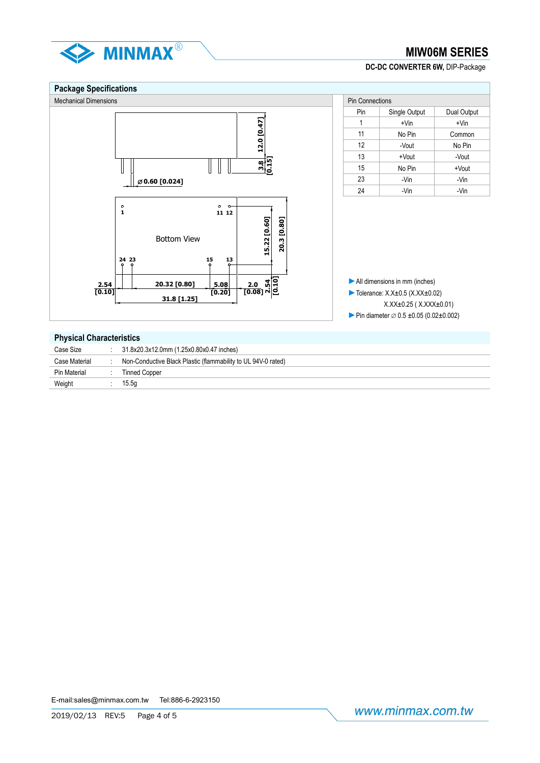

## **DC-DC CONVERTER 6W,** DIP-Package

#### **Package Specifications** Mechanical Dimensions **Pin Connections** Pin Connections Pin Connections Pin Connections Pin | Single Output | Dual Output 12.0 [0.47] **12.0 [0.47]** 1  $+V$ in  $+V$ in 11 No Pin Common 12 | -Vout | No Pin 13 +Vout -Vout **3.8 [0.15]**  $\mathbb{I}$  $\overline{\phantom{a}}$ 15 | No Pin | +Vout  $23$  -Vin -Vin -Vin **0.60 [0.024]** 24 | -Vin | -Vin **1 11 12** 15.22 [0.60] 20.3 [0.80] **15.22 [0.60] 20.3 [0.80]** Bottom View **24 15 13 23 2.0 [0.08] 2.54 [0.10]►**All dimensions in mm (inches) **20.32 [0.80] 5.08 2.54 [0.10] [0.20] ►**Tolerance: X.X±0.5 (X.XX±0.02) **31.8 [1.25]** X.XX±0.25 ( X.XXX±0.01) ► Pin diameter  $\varnothing$  0.5 ±0.05 (0.02±0.002) **Physical Characteristics**

| Case Size     | 31.8x20.3x12.0mm (1.25x0.80x0.47 inches)                      |
|---------------|---------------------------------------------------------------|
| Case Material | Non-Conductive Black Plastic (flammability to UL 94V-0 rated) |
| Pin Material  | <b>Tinned Copper</b>                                          |
| Weight        | 15.5a                                                         |
|               |                                                               |

E-mail:sales@minmax.com.tw Tel:886-6-2923150